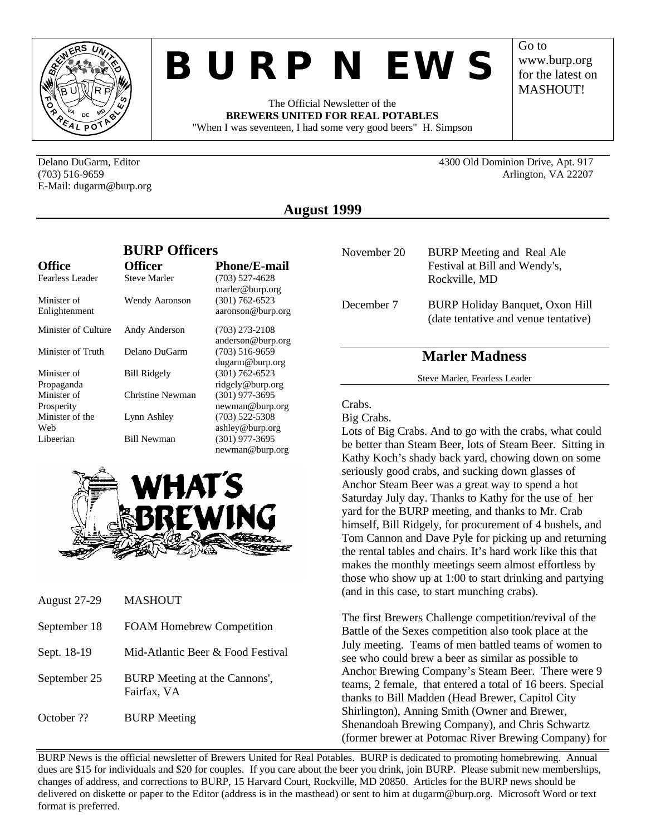

# *BURP NEWS*

The Official Newsletter of the **BREWERS UNITED FOR REAL POTABLES** "When I was seventeen, I had some very good beers" H. Simpson Go to www.burp.org for the latest on **MASHOUT!** 

Delano DuGarm, Editor 4300 Old Dominion Drive, Apt. 917 (703) 516-9659 Arlington, VA 22207

E-Mail: dugarm@burp.org

**August 1999**

|                              | <b>BURP Officers</b> |                                         |
|------------------------------|----------------------|-----------------------------------------|
| <b>Office</b>                | <b>Officer</b>       | <b>Phone/E-mail</b>                     |
| Fearless Leader              | <b>Steve Marler</b>  | $(703)$ 527-4628<br>marler@burp.org     |
| Minister of<br>Enlightenment | Wendy Aaronson       | $(301) 762 - 6523$<br>aaronson@burp.org |
| Minister of Culture          | Andy Anderson        | $(703)$ 273-2108<br>anderson@burp.org   |
| Minister of Truth            | Delano DuGarm        | $(703)$ 516-9659<br>dugarm@burp.org     |
| Minister of<br>Propaganda    | <b>Bill Ridgely</b>  | $(301) 762 - 6523$<br>ridgely@burp.org  |
| Minister of<br>Prosperity    | Christine Newman     | $(301)$ 977-3695<br>newman@burp.org     |
| Minister of the<br>Web       | Lynn Ashley          | $(703)$ 522-5308<br>ashley@burp.org     |
| Libeerian                    | <b>Bill Newman</b>   | $(301)$ 977-3695<br>newman@burp.org     |



| <b>August 27-29</b> | <b>MASHOUT</b>                               |
|---------------------|----------------------------------------------|
| September 18        | <b>FOAM Homebrew Competition</b>             |
| Sept. 18-19         | Mid-Atlantic Beer & Food Festival            |
| September 25        | BURP Meeting at the Cannons',<br>Fairfax, VA |
| October ??          | <b>BURP</b> Meeting                          |

| November 20 | <b>BURP</b> Meeting and Real Ale<br>Festival at Bill and Wendy's,<br>Rockville, MD |
|-------------|------------------------------------------------------------------------------------|
| December 7  | <b>BURP Holiday Banquet, Oxon Hill</b><br>(date tentative and venue tentative)     |

# **Marler Madness**

Steve Marler, Fearless Leader

### Crabs.

Big Crabs.

Lots of Big Crabs. And to go with the crabs, what could be better than Steam Beer, lots of Steam Beer. Sitting in Kathy Koch's shady back yard, chowing down on some seriously good crabs, and sucking down glasses of Anchor Steam Beer was a great way to spend a hot Saturday July day. Thanks to Kathy for the use of her yard for the BURP meeting, and thanks to Mr. Crab himself, Bill Ridgely, for procurement of 4 bushels, and Tom Cannon and Dave Pyle for picking up and returning the rental tables and chairs. It's hard work like this that makes the monthly meetings seem almost effortless by those who show up at 1:00 to start drinking and partying (and in this case, to start munching crabs).

The first Brewers Challenge competition/revival of the Battle of the Sexes competition also took place at the July meeting. Teams of men battled teams of women to see who could brew a beer as similar as possible to Anchor Brewing Company's Steam Beer. There were 9 teams, 2 female, that entered a total of 16 beers. Special thanks to Bill Madden (Head Brewer, Capitol City Shirlington), Anning Smith (Owner and Brewer, Shenandoah Brewing Company), and Chris Schwartz (former brewer at Potomac River Brewing Company) for

BURP News is the official newsletter of Brewers United for Real Potables. BURP is dedicated to promoting homebrewing. Annual dues are \$15 for individuals and \$20 for couples. If you care about the beer you drink, join BURP. Please submit new memberships, changes of address, and corrections to BURP, 15 Harvard Court, Rockville, MD 20850. Articles for the BURP news should be delivered on diskette or paper to the Editor (address is in the masthead) or sent to him at dugarm@burp.org. Microsoft Word or text format is preferred.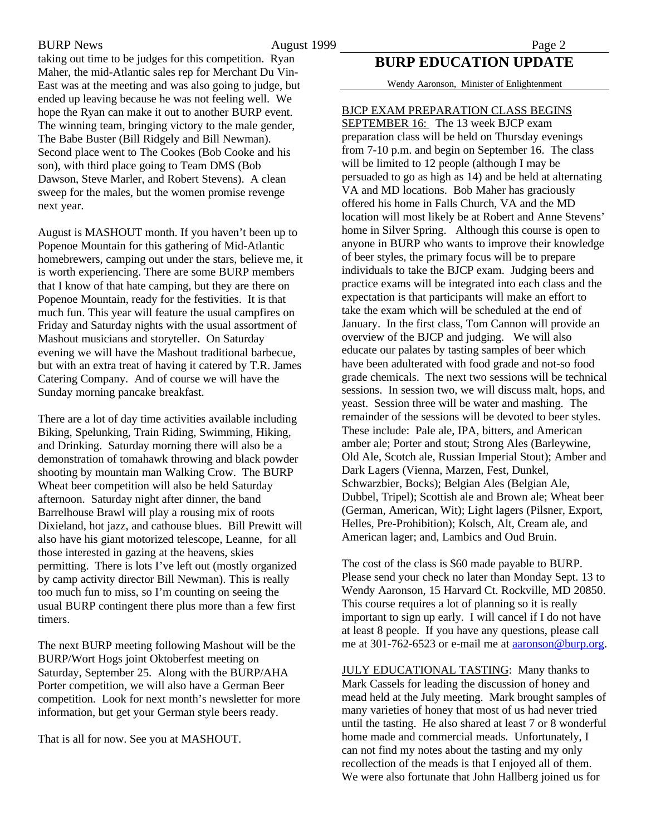BURP News 2 and 2 and 2 and 2 and 2 and 2 and 2 and 2 and 2 and 2 and 2 and 2 and 2 and 2 and 2 and 2 and 2 and 2 and 2 and 2 and 2 and 2 and 2 and 2 and 2 and 2 and 2 and 2 and 2 and 2 and 2 and 2 and 2 and 2 and 2 and 2

taking out time to be judges for this competition. Ryan Maher, the mid-Atlantic sales rep for Merchant Du Vin-East was at the meeting and was also going to judge, but ended up leaving because he was not feeling well. We hope the Ryan can make it out to another BURP event. The winning team, bringing victory to the male gender, The Babe Buster (Bill Ridgely and Bill Newman). Second place went to The Cookes (Bob Cooke and his son), with third place going to Team DMS (Bob Dawson, Steve Marler, and Robert Stevens). A clean sweep for the males, but the women promise revenge next year.

August is MASHOUT month. If you haven't been up to Popenoe Mountain for this gathering of Mid-Atlantic homebrewers, camping out under the stars, believe me, it is worth experiencing. There are some BURP members that I know of that hate camping, but they are there on Popenoe Mountain, ready for the festivities. It is that much fun. This year will feature the usual campfires on Friday and Saturday nights with the usual assortment of Mashout musicians and storyteller. On Saturday evening we will have the Mashout traditional barbecue, but with an extra treat of having it catered by T.R. James Catering Company. And of course we will have the Sunday morning pancake breakfast.

There are a lot of day time activities available including Biking, Spelunking, Train Riding, Swimming, Hiking, and Drinking. Saturday morning there will also be a demonstration of tomahawk throwing and black powder shooting by mountain man Walking Crow. The BURP Wheat beer competition will also be held Saturday afternoon. Saturday night after dinner, the band Barrelhouse Brawl will play a rousing mix of roots Dixieland, hot jazz, and cathouse blues. Bill Prewitt will also have his giant motorized telescope, Leanne, for all those interested in gazing at the heavens, skies permitting. There is lots I've left out (mostly organized by camp activity director Bill Newman). This is really too much fun to miss, so I'm counting on seeing the usual BURP contingent there plus more than a few first timers.

The next BURP meeting following Mashout will be the BURP/Wort Hogs joint Oktoberfest meeting on Saturday, September 25. Along with the BURP/AHA Porter competition, we will also have a German Beer competition. Look for next month's newsletter for more information, but get your German style beers ready.

That is all for now. See you at MASHOUT.

## **BURP EDUCATION UPDATE**

Wendy Aaronson, Minister of Enlightenment

## BJCP EXAM PREPARATION CLASS BEGINS

SEPTEMBER 16: The 13 week BJCP exam preparation class will be held on Thursday evenings from 7-10 p.m. and begin on September 16. The class will be limited to 12 people (although I may be persuaded to go as high as 14) and be held at alternating VA and MD locations. Bob Maher has graciously offered his home in Falls Church, VA and the MD location will most likely be at Robert and Anne Stevens' home in Silver Spring. Although this course is open to anyone in BURP who wants to improve their knowledge of beer styles, the primary focus will be to prepare individuals to take the BJCP exam. Judging beers and practice exams will be integrated into each class and the expectation is that participants will make an effort to take the exam which will be scheduled at the end of January. In the first class, Tom Cannon will provide an overview of the BJCP and judging. We will also educate our palates by tasting samples of beer which have been adulterated with food grade and not-so food grade chemicals. The next two sessions will be technical sessions. In session two, we will discuss malt, hops, and yeast. Session three will be water and mashing. The remainder of the sessions will be devoted to beer styles. These include: Pale ale, IPA, bitters, and American amber ale; Porter and stout; Strong Ales (Barleywine, Old Ale, Scotch ale, Russian Imperial Stout); Amber and Dark Lagers (Vienna, Marzen, Fest, Dunkel, Schwarzbier, Bocks); Belgian Ales (Belgian Ale, Dubbel, Tripel); Scottish ale and Brown ale; Wheat beer (German, American, Wit); Light lagers (Pilsner, Export, Helles, Pre-Prohibition); Kolsch, Alt, Cream ale, and American lager; and, Lambics and Oud Bruin.

The cost of the class is \$60 made payable to BURP. Please send your check no later than Monday Sept. 13 to Wendy Aaronson, 15 Harvard Ct. Rockville, MD 20850. This course requires a lot of planning so it is really important to sign up early. I will cancel if I do not have at least 8 people. If you have any questions, please call me at 301-762-6523 or e-mail me at **aaronson@burp.org**.

JULY EDUCATIONAL TASTING: Many thanks to Mark Cassels for leading the discussion of honey and mead held at the July meeting. Mark brought samples of many varieties of honey that most of us had never tried until the tasting. He also shared at least 7 or 8 wonderful home made and commercial meads. Unfortunately, I can not find my notes about the tasting and my only recollection of the meads is that I enjoyed all of them. We were also fortunate that John Hallberg joined us for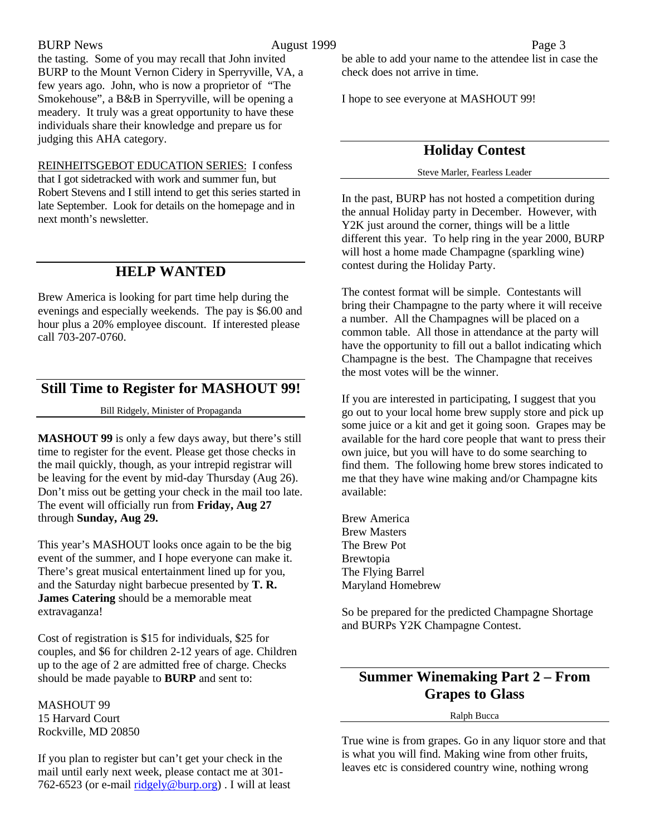### BURP News **August 1999** Page 3

the tasting. Some of you may recall that John invited BURP to the Mount Vernon Cidery in Sperryville, VA, a few years ago. John, who is now a proprietor of "The Smokehouse", a B&B in Sperryville, will be opening a meadery. It truly was a great opportunity to have these individuals share their knowledge and prepare us for judging this AHA category.

REINHEITSGEBOT EDUCATION SERIES: I confess that I got sidetracked with work and summer fun, but Robert Stevens and I still intend to get this series started in late September. Look for details on the homepage and in next month's newsletter.

# **HELP WANTED**

Brew America is looking for part time help during the evenings and especially weekends. The pay is \$6.00 and hour plus a 20% employee discount. If interested please call 703-207-0760.

## **Still Time to Register for MASHOUT 99!**

Bill Ridgely, Minister of Propaganda

**MASHOUT 99** is only a few days away, but there's still time to register for the event. Please get those checks in the mail quickly, though, as your intrepid registrar will be leaving for the event by mid-day Thursday (Aug 26). Don't miss out be getting your check in the mail too late. The event will officially run from **Friday, Aug 27** through **Sunday, Aug 29.**

This year's MASHOUT looks once again to be the big event of the summer, and I hope everyone can make it. There's great musical entertainment lined up for you, and the Saturday night barbecue presented by **T. R. James Catering** should be a memorable meat extravaganza!

Cost of registration is \$15 for individuals, \$25 for couples, and \$6 for children 2-12 years of age. Children up to the age of 2 are admitted free of charge. Checks should be made payable to **BURP** and sent to:

MASHOUT 99 15 Harvard Court Rockville, MD 20850

If you plan to register but can't get your check in the mail until early next week, please contact me at 301- 762-6523 (or e-mail ridgely@burp.org) . I will at least

be able to add your name to the attendee list in case the check does not arrive in time.

I hope to see everyone at MASHOUT 99!

# **Holiday Contest**

Steve Marler, Fearless Leader

In the past, BURP has not hosted a competition during the annual Holiday party in December. However, with Y2K just around the corner, things will be a little different this year. To help ring in the year 2000, BURP will host a home made Champagne (sparkling wine) contest during the Holiday Party.

The contest format will be simple. Contestants will bring their Champagne to the party where it will receive a number. All the Champagnes will be placed on a common table. All those in attendance at the party will have the opportunity to fill out a ballot indicating which Champagne is the best. The Champagne that receives the most votes will be the winner.

If you are interested in participating, I suggest that you go out to your local home brew supply store and pick up some juice or a kit and get it going soon. Grapes may be available for the hard core people that want to press their own juice, but you will have to do some searching to find them. The following home brew stores indicated to me that they have wine making and/or Champagne kits available:

Brew America Brew Masters The Brew Pot Brewtopia The Flying Barrel Maryland Homebrew

So be prepared for the predicted Champagne Shortage and BURPs Y2K Champagne Contest.

# **Summer Winemaking Part 2 – From Grapes to Glass**

Ralph Bucca

True wine is from grapes. Go in any liquor store and that is what you will find. Making wine from other fruits, leaves etc is considered country wine, nothing wrong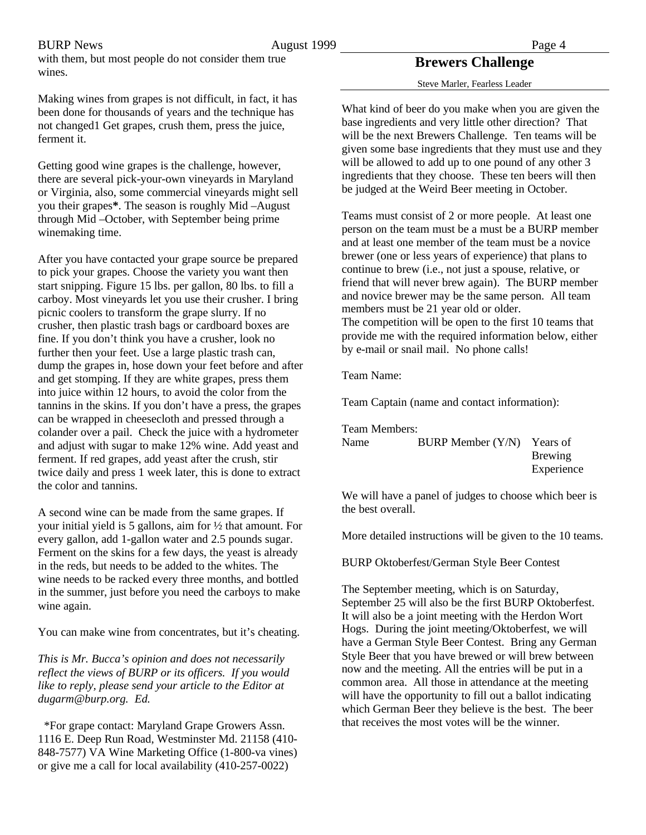wines.

BURP News **August 1999** Page 4

## **Brewers Challenge**

Steve Marler, Fearless Leader

Making wines from grapes is not difficult, in fact, it has been done for thousands of years and the technique has not changed1 Get grapes, crush them, press the juice, ferment it.

with them, but most people do not consider them true

Getting good wine grapes is the challenge, however, there are several pick-your-own vineyards in Maryland or Virginia, also, some commercial vineyards might sell you their grapes**\***. The season is roughly Mid –August through Mid –October, with September being prime winemaking time.

After you have contacted your grape source be prepared to pick your grapes. Choose the variety you want then start snipping. Figure 15 lbs. per gallon, 80 lbs. to fill a carboy. Most vineyards let you use their crusher. I bring picnic coolers to transform the grape slurry. If no crusher, then plastic trash bags or cardboard boxes are fine. If you don't think you have a crusher, look no further then your feet. Use a large plastic trash can, dump the grapes in, hose down your feet before and after and get stomping. If they are white grapes, press them into juice within 12 hours, to avoid the color from the tannins in the skins. If you don't have a press, the grapes can be wrapped in cheesecloth and pressed through a colander over a pail. Check the juice with a hydrometer and adjust with sugar to make 12% wine. Add yeast and ferment. If red grapes, add yeast after the crush, stir twice daily and press 1 week later, this is done to extract the color and tannins.

A second wine can be made from the same grapes. If your initial yield is 5 gallons, aim for ½ that amount. For every gallon, add 1-gallon water and 2.5 pounds sugar. Ferment on the skins for a few days, the yeast is already in the reds, but needs to be added to the whites. The wine needs to be racked every three months, and bottled in the summer, just before you need the carboys to make wine again.

You can make wine from concentrates, but it's cheating.

*This is Mr. Bucca's opinion and does not necessarily reflect the views of BURP or its officers. If you would like to reply, please send your article to the Editor at dugarm@burp.org. Ed.*

 \*For grape contact: Maryland Grape Growers Assn. 1116 E. Deep Run Road, Westminster Md. 21158 (410- 848-7577) VA Wine Marketing Office (1-800-va vines) or give me a call for local availability (410-257-0022)

What kind of beer do you make when you are given the base ingredients and very little other direction? That will be the next Brewers Challenge. Ten teams will be given some base ingredients that they must use and they will be allowed to add up to one pound of any other 3 ingredients that they choose. These ten beers will then be judged at the Weird Beer meeting in October.

Teams must consist of 2 or more people. At least one person on the team must be a must be a BURP member and at least one member of the team must be a novice brewer (one or less years of experience) that plans to continue to brew (i.e., not just a spouse, relative, or friend that will never brew again). The BURP member and novice brewer may be the same person. All team members must be 21 year old or older. The competition will be open to the first 10 teams that provide me with the required information below, either by e-mail or snail mail. No phone calls!

Team Name:

Team Captain (name and contact information):

Team Members: Name BURP Member (Y/N) Years of Brewing Experience

We will have a panel of judges to choose which beer is the best overall.

More detailed instructions will be given to the 10 teams.

BURP Oktoberfest/German Style Beer Contest

The September meeting, which is on Saturday, September 25 will also be the first BURP Oktoberfest. It will also be a joint meeting with the Herdon Wort Hogs. During the joint meeting/Oktoberfest, we will have a German Style Beer Contest. Bring any German Style Beer that you have brewed or will brew between now and the meeting. All the entries will be put in a common area. All those in attendance at the meeting will have the opportunity to fill out a ballot indicating which German Beer they believe is the best. The beer that receives the most votes will be the winner.